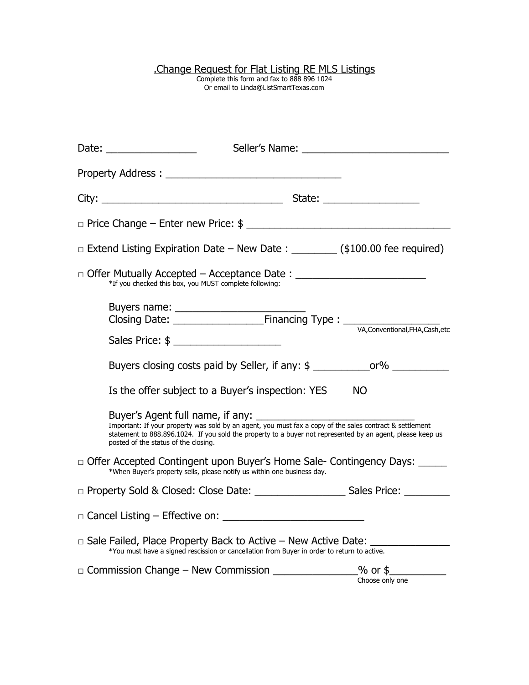## .Change Request for Flat Listing RE MLS Listings

Complete this form and fax to 888 896 1024 Or email to Linda@ListSmartTexas.com

| Date: $\frac{1}{\sqrt{1-\frac{1}{2}}\cdot\frac{1}{\sqrt{1-\frac{1}{2}}\cdot\frac{1}{2}}}}$ |                                                                                                                                                                                                                                                                |                 |
|--------------------------------------------------------------------------------------------|----------------------------------------------------------------------------------------------------------------------------------------------------------------------------------------------------------------------------------------------------------------|-----------------|
|                                                                                            |                                                                                                                                                                                                                                                                |                 |
|                                                                                            |                                                                                                                                                                                                                                                                |                 |
|                                                                                            |                                                                                                                                                                                                                                                                |                 |
|                                                                                            | $\Box$ Extend Listing Expiration Date – New Date : ________ (\$100.00 fee required)                                                                                                                                                                            |                 |
|                                                                                            | □ Offer Mutually Accepted – Acceptance Date : _________________________________<br>*If you checked this box, you MUST complete following:                                                                                                                      |                 |
|                                                                                            |                                                                                                                                                                                                                                                                |                 |
|                                                                                            |                                                                                                                                                                                                                                                                |                 |
|                                                                                            | Buyers closing costs paid by Seller, if any: \$ _______________or% ______________                                                                                                                                                                              |                 |
|                                                                                            | Is the offer subject to a Buyer's inspection: YES                                                                                                                                                                                                              | <b>NO</b>       |
|                                                                                            | Important: If your property was sold by an agent, you must fax a copy of the sales contract & settlement<br>statement to 888.896.1024. If you sold the property to a buyer not represented by an agent, please keep us<br>posted of the status of the closing. |                 |
|                                                                                            | □ Offer Accepted Contingent upon Buyer's Home Sale- Contingency Days:<br>*When Buyer's property sells, please notify us within one business day.                                                                                                               |                 |
|                                                                                            |                                                                                                                                                                                                                                                                |                 |
|                                                                                            | $\Box$ Cancel Listing $-$ Effective on:                                                                                                                                                                                                                        |                 |
|                                                                                            | $\Box$ Sale Failed, Place Property Back to Active $-$ New Active Date:<br>*You must have a signed rescission or cancellation from Buyer in order to return to active.                                                                                          |                 |
|                                                                                            |                                                                                                                                                                                                                                                                | Choose only one |